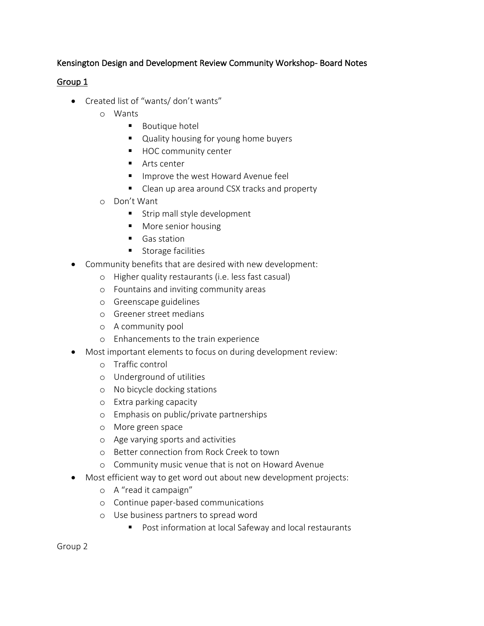# Kensington Design and Development Review Community Workshop- Board Notes

# Group 1

- Created list of "wants/ don't wants"
	- o Wants
		- Boutique hotel
		- Quality housing for young home buyers
		- HOC community center
		- Arts center
		- Improve the west Howard Avenue feel
		- Clean up area around CSX tracks and property
	- o Don't Want
		- Strip mall style development
		- More senior housing
		- Gas station
		- Storage facilities
- Community benefits that are desired with new development:
	- o Higher quality restaurants (i.e. less fast casual)
	- o Fountains and inviting community areas
	- o Greenscape guidelines
	- o Greener street medians
	- o A community pool
	- o Enhancements to the train experience
- Most important elements to focus on during development review:
	- o Traffic control
	- o Underground of utilities
	- o No bicycle docking stations
	- o Extra parking capacity
	- o Emphasis on public/private partnerships
	- o More green space
	- o Age varying sports and activities
	- o Better connection from Rock Creek to town
	- o Community music venue that is not on Howard Avenue
- Most efficient way to get word out about new development projects:
	- o A "read it campaign"
	- o Continue paper-based communications
	- o Use business partners to spread word
		- Post information at local Safeway and local restaurants

Group 2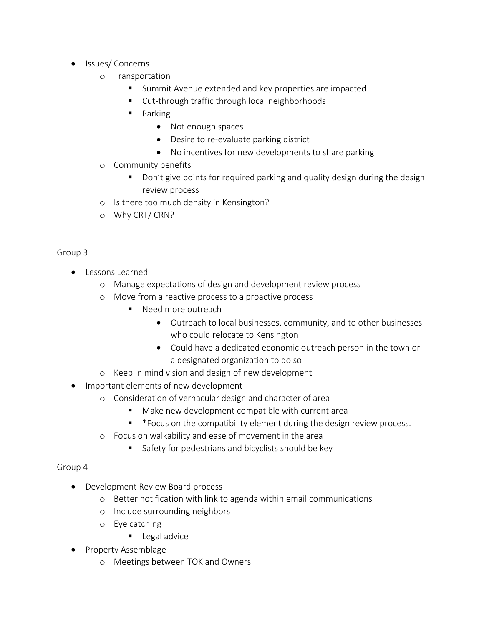- Issues/ Concerns
	- o Transportation
		- Summit Avenue extended and key properties are impacted
		- Cut-through traffic through local neighborhoods
		- Parking
			- Not enough spaces
			- Desire to re-evaluate parking district
			- No incentives for new developments to share parking
	- o Community benefits
		- Don't give points for required parking and quality design during the design review process
	- o Is there too much density in Kensington?
	- o Why CRT/ CRN?

### Group 3

- Lessons Learned
	- o Manage expectations of design and development review process
	- o Move from a reactive process to a proactive process
		- Need more outreach
			- Outreach to local businesses, community, and to other businesses who could relocate to Kensington
			- Could have a dedicated economic outreach person in the town or a designated organization to do so
	- o Keep in mind vision and design of new development
- Important elements of new development
	- o Consideration of vernacular design and character of area
		- Make new development compatible with current area
			- § \*Focus on the compatibility element during the design review process.
	- o Focus on walkability and ease of movement in the area
		- Safety for pedestrians and bicyclists should be key

### Group 4

- Development Review Board process
	- o Better notification with link to agenda within email communications
	- o Include surrounding neighbors
	- o Eye catching
		- Legal advice
- Property Assemblage
	- o Meetings between TOK and Owners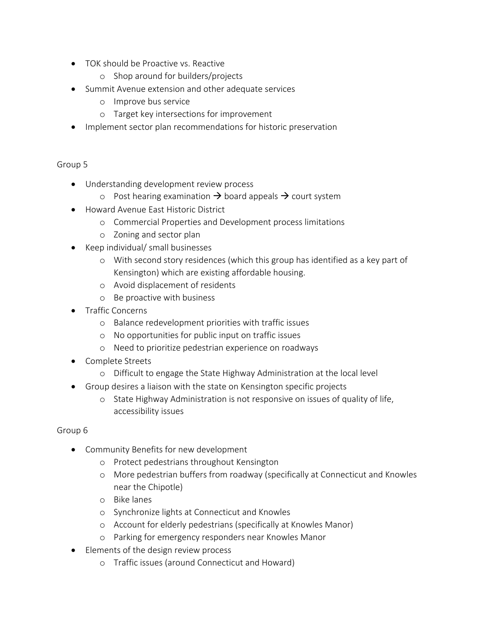- TOK should be Proactive vs. Reactive
	- o Shop around for builders/projects
- Summit Avenue extension and other adequate services
	- o Improve bus service
	- o Target key intersections for improvement
- Implement sector plan recommendations for historic preservation

### Group 5

- Understanding development review process
	- o Post hearing examination  $\rightarrow$  board appeals  $\rightarrow$  court system
- Howard Avenue East Historic District
	- o Commercial Properties and Development process limitations
	- o Zoning and sector plan
- Keep individual/ small businesses
	- o With second story residences (which this group has identified as a key part of Kensington) which are existing affordable housing.
	- o Avoid displacement of residents
	- o Be proactive with business
- Traffic Concerns
	- o Balance redevelopment priorities with traffic issues
	- o No opportunities for public input on traffic issues
	- o Need to prioritize pedestrian experience on roadways
- Complete Streets
	- o Difficult to engage the State Highway Administration at the local level
- Group desires a liaison with the state on Kensington specific projects
	- o State Highway Administration is not responsive on issues of quality of life, accessibility issues

### Group 6

- Community Benefits for new development
	- o Protect pedestrians throughout Kensington
	- o More pedestrian buffers from roadway (specifically at Connecticut and Knowles near the Chipotle)
	- o Bike lanes
	- o Synchronize lights at Connecticut and Knowles
	- o Account for elderly pedestrians (specifically at Knowles Manor)
	- o Parking for emergency responders near Knowles Manor
- Elements of the design review process
	- o Traffic issues (around Connecticut and Howard)